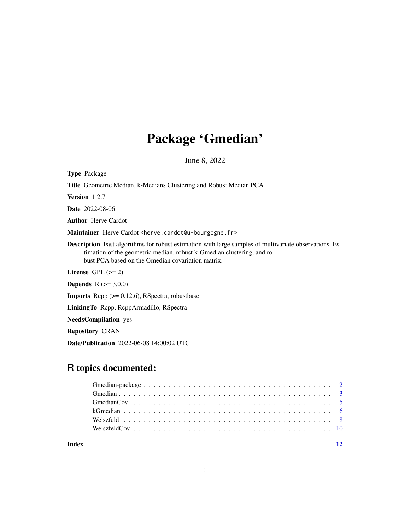## Package 'Gmedian'

June 8, 2022

<span id="page-0-0"></span>Type Package Title Geometric Median, k-Medians Clustering and Robust Median PCA Version 1.2.7 Date 2022-08-06 Author Herve Cardot Maintainer Herve Cardot <herve.cardot@u-bourgogne.fr> Description Fast algorithms for robust estimation with large samples of multivariate observations. Estimation of the geometric median, robust k-Gmedian clustering, and robust PCA based on the Gmedian covariation matrix. License GPL  $(>= 2)$ **Depends**  $R (= 3.0.0)$ **Imports** Rcpp  $(>= 0.12.6)$ , RSpectra, robustbase LinkingTo Rcpp, RcppArmadillo, RSpectra NeedsCompilation yes Repository CRAN

Date/Publication 2022-06-08 14:00:02 UTC

### R topics documented:

| Index |  |  |  |  |  |  |  |  |  |  |  |  |  |  |  |
|-------|--|--|--|--|--|--|--|--|--|--|--|--|--|--|--|

1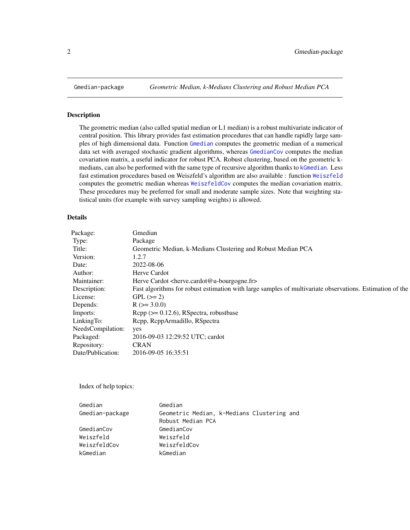<span id="page-1-0"></span>

#### Description

The geometric median (also called spatial median or L1 median) is a robust multivariate indicator of central position. This library provides fast estimation procedures that can handle rapidly large samples of high dimensional data. Function [Gmedian](#page-2-1) computes the geometric median of a numerical data set with averaged stochastic gradient algorithms, whereas [GmedianCov](#page-4-1) computes the median covariation matrix, a useful indicator for robust PCA. Robust clustering, based on the geometric kmedians, can also be performed with the same type of recursive algorithm thanks to [kGmedian](#page-5-1). Less fast estimation procedures based on Weiszfeld's algorithm are also available : function [Weiszfeld](#page-7-1) computes the geometric median whereas [WeiszfeldCov](#page-9-1) computes the median covariation matrix. These procedures may be preferred for small and moderate sample sizes. Note that weighting statistical units (for example with survey sampling weights) is allowed.

#### Details

| Package:          | Gmedian                                                                                                  |
|-------------------|----------------------------------------------------------------------------------------------------------|
| Type:             | Package                                                                                                  |
| Title:            | Geometric Median, k-Medians Clustering and Robust Median PCA                                             |
| Version:          | 1.2.7                                                                                                    |
| Date:             | 2022-08-06                                                                                               |
| Author:           | Herve Cardot                                                                                             |
| Maintainer:       | Herve Cardot <herve.cardot@u-bourgogne.fr></herve.cardot@u-bourgogne.fr>                                 |
| Description:      | Fast algorithms for robust estimation with large samples of multivariate observations. Estimation of the |
| License:          | $GPL (=2)$                                                                                               |
| Depends:          | $R$ ( $>=$ 3.0.0)                                                                                        |
| Imports:          | $\text{Rcpp} (> = 0.12.6)$ , RSpectra, robustbase                                                        |
| LinkingTo:        | Rcpp, RcppArmadillo, RSpectra                                                                            |
| NeedsCompilation: | yes                                                                                                      |
| Packaged:         | 2016-09-03 12:29:52 UTC; cardot                                                                          |
| Repository:       | <b>CRAN</b>                                                                                              |
| Date/Publication: | 2016-09-05 16:35:51                                                                                      |

Index of help topics:

| Gmedian                                    |
|--------------------------------------------|
| Geometric Median, k-Medians Clustering and |
| Robust Median PCA                          |
| GmedianCov                                 |
| Weiszfeld                                  |
| WeiszfeldCov                               |
| kGmedian                                   |
|                                            |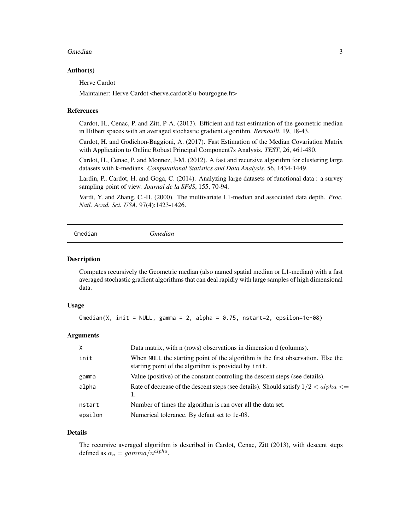#### <span id="page-2-0"></span>Gmedian 3

#### Author(s)

Herve Cardot

Maintainer: Herve Cardot <herve.cardot@u-bourgogne.fr>

#### References

Cardot, H., Cenac, P. and Zitt, P-A. (2013). Efficient and fast estimation of the geometric median in Hilbert spaces with an averaged stochastic gradient algorithm. *Bernoulli*, 19, 18-43.

Cardot, H. and Godichon-Baggioni, A. (2017). Fast Estimation of the Median Covariation Matrix with Application to Online Robust Principal Component7s Analysis. *TEST*, 26, 461-480.

Cardot, H., Cenac, P. and Monnez, J-M. (2012). A fast and recursive algorithm for clustering large datasets with k-medians. *Computational Statistics and Data Analysis*, 56, 1434-1449.

Lardin, P., Cardot, H. and Goga, C. (2014). Analyzing large datasets of functional data : a survey sampling point of view. *Journal de la SFdS*, 155, 70-94.

Vardi, Y. and Zhang, C.-H. (2000). The multivariate L1-median and associated data depth. *Proc. Natl. Acad. Sci. USA*, 97(4):1423-1426.

```
Gmedian Gmedian
```
#### Description

Computes recursively the Geometric median (also named spatial median or L1-median) with a fast averaged stochastic gradient algorithms that can deal rapidly with large samples of high dimensional data.

#### Usage

Gmedian(X, init = NULL, gamma = 2, alpha =  $0.75$ , nstart=2, epsilon=1e-08)

#### Arguments

| X       | Data matrix, with n (rows) observations in dimension d (columns).                                                                        |
|---------|------------------------------------------------------------------------------------------------------------------------------------------|
| init    | When NULL the starting point of the algorithm is the first observation. Else the<br>starting point of the algorithm is provided by init. |
| gamma   | Value (positive) of the constant controling the descent steps (see details).                                                             |
| alpha   | Rate of decrease of the descent steps (see details). Should satisfy $1/2 < alpha \le$<br>1.                                              |
| nstart  | Number of times the algorithm is ran over all the data set.                                                                              |
| epsilon | Numerical tolerance. By defaut set to 1e-08.                                                                                             |

#### Details

The recursive averaged algorithm is described in Cardot, Cenac, Zitt (2013), with descent steps defined as  $\alpha_n = gamma/n^{alpha}$ .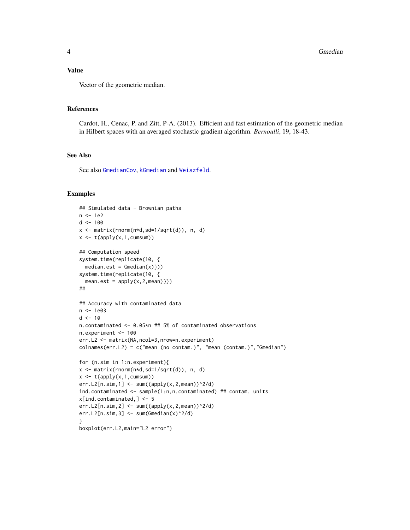#### <span id="page-3-0"></span>Value

Vector of the geometric median.

#### References

Cardot, H., Cenac, P. and Zitt, P-A. (2013). Efficient and fast estimation of the geometric median in Hilbert spaces with an averaged stochastic gradient algorithm. *Bernoulli*, 19, 18-43.

#### See Also

See also [GmedianCov](#page-4-1), [kGmedian](#page-5-1) and [Weiszfeld](#page-7-1).

#### Examples

```
## Simulated data - Brownian paths
n < -1e2d < -100x <- matrix(rnorm(n*d,sd=1/sqrt(d)), n, d)
x \leftarrow t(\text{apply}(x, 1, \text{cumsum}))## Computation speed
system.time(replicate(10, {
 median.set = Gmedian(x)}system.time(replicate(10, {
  mean.set = apply(x, 2, mean)})##
## Accuracy with contaminated data
n <- 1e03
d < -10n.contaminated <- 0.05*n ## 5% of contaminated observations
n.experiment <- 100
err.L2 <- matrix(NA,ncol=3,nrow=n.experiment)
colnames(err.L2) = c("mean (no contam.)", "mean (contam.)","Gmedian")
for (n.sim in 1:n.experiment){
x <- matrix(rnorm(n*d,sd=1/sqrt(d)), n, d)
x \leftarrow t(\text{apply}(x,1, \text{cumsum}))err.L2[n.sim,1] < -sum( (apply(x,2,mean))^2/ d)ind.contaminated <- sample(1:n,n.contaminated) ## contam. units
x[ind.contaminated,] <- 5
err.L2[n.sim, 2] \leq sum((apply(x, 2, mean))^2/2)err.L2[n.sim,3] <- sum(Gmedian(x)^2/d)
}
boxplot(err.L2,main="L2 error")
```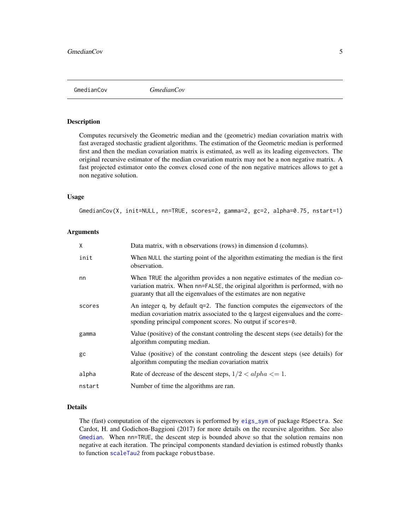<span id="page-4-1"></span><span id="page-4-0"></span>GmedianCov *GmedianCov*

#### Description

Computes recursively the Geometric median and the (geometric) median covariation matrix with fast averaged stochastic gradient algorithms. The estimation of the Geometric median is performed first and then the median covariation matrix is estimated, as well as its leading eigenvectors. The original recursive estimator of the median covariation matrix may not be a non negative matrix. A fast projected estimator onto the convex closed cone of the non negative matrices allows to get a non negative solution.

#### Usage

GmedianCov(X, init=NULL, nn=TRUE, scores=2, gamma=2, gc=2, alpha=0.75, nstart=1)

#### Arguments

| X      | Data matrix, with n observations (rows) in dimension d (columns).                                                                                                                                                                   |
|--------|-------------------------------------------------------------------------------------------------------------------------------------------------------------------------------------------------------------------------------------|
| init   | When NULL the starting point of the algorithm estimating the median is the first<br>observation.                                                                                                                                    |
| nn     | When TRUE the algorithm provides a non negative estimates of the median co-<br>variation matrix. When nn=FALSE, the original algorithm is performed, with no<br>guaranty that all the eigenvalues of the estimates are non negative |
| scores | An integer q, by default $q=2$ . The function computes the eigenvectors of the<br>median covariation matrix associated to the q largest eigenvalues and the corre-<br>sponding principal component scores. No output if scores=0.   |
| gamma  | Value (positive) of the constant controling the descent steps (see details) for the<br>algorithm computing median.                                                                                                                  |
| gc     | Value (positive) of the constant controling the descent steps (see details) for<br>algorithm computing the median covariation matrix                                                                                                |
| alpha  | Rate of decrease of the descent steps, $1/2 < alpha \leq 1$ .                                                                                                                                                                       |
| nstart | Number of time the algorithms are ran.                                                                                                                                                                                              |

#### Details

The (fast) computation of the eigenvectors is performed by [eigs\\_sym](#page-0-0) of package RSpectra. See Cardot, H. and Godichon-Baggioni (2017) for more details on the recursive algorithm. See also [Gmedian](#page-2-1). When nn=TRUE, the descent step is bounded above so that the solution remains non negative at each iteration. The principal components standard deviation is estimed robustly thanks to function [scaleTau2](#page-0-0) from package robustbase.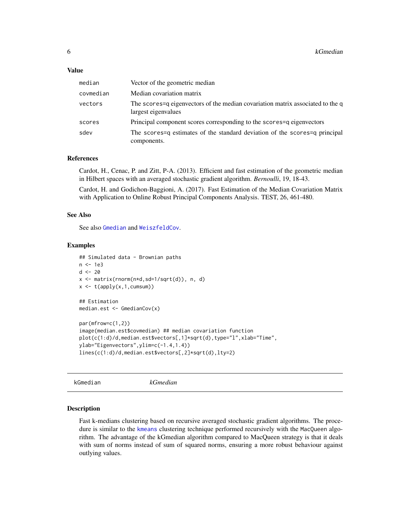#### <span id="page-5-0"></span>Value

| median    | Vector of the geometric median                                                                        |
|-----------|-------------------------------------------------------------------------------------------------------|
| covmedian | Median covariation matrix                                                                             |
| vectors   | The scores=q eigenvectors of the median covariation matrix associated to the q<br>largest eigenvalues |
| scores    | Principal component scores corresponding to the scores = q eigenvectors                               |
| sdev      | The scores q estimates of the standard deviation of the scores q principal<br>components.             |

#### References

Cardot, H., Cenac, P. and Zitt, P-A. (2013). Efficient and fast estimation of the geometric median in Hilbert spaces with an averaged stochastic gradient algorithm. *Bernoulli*, 19, 18-43.

Cardot, H. and Godichon-Baggioni, A. (2017). Fast Estimation of the Median Covariation Matrix with Application to Online Robust Principal Components Analysis. TEST, 26, 461-480.

#### See Also

See also [Gmedian](#page-2-1) and [WeiszfeldCov](#page-9-1).

#### Examples

```
## Simulated data - Brownian paths
n <- 1e3
d < -20x <- matrix(rnorm(n*d,sd=1/sqrt(d)), n, d)
x \leftarrow t(\text{apply}(x, 1, \text{cumsum}))## Estimation
median.est <- GmedianCov(x)
par(mfrow=c(1,2))
image(median.est$covmedian) ## median covariation function
plot(c(1:d)/d,median.est$vectors[,1]*sqrt(d),type="l",xlab="Time",
ylab="Eigenvectors",ylim=c(-1.4,1.4))
lines(c(1:d)/d,median.est$vectors[,2]*sqrt(d),lty=2)
```
<span id="page-5-1"></span>kGmedian *kGmedian*

#### **Description**

Fast k-medians clustering based on recursive averaged stochastic gradient algorithms. The procedure is similar to the [kmeans](#page-0-0) clustering technique performed recursively with the MacQueen algorithm. The advantage of the kGmedian algorithm compared to MacQueen strategy is that it deals with sum of norms instead of sum of squared norms, ensuring a more robust behaviour against outlying values.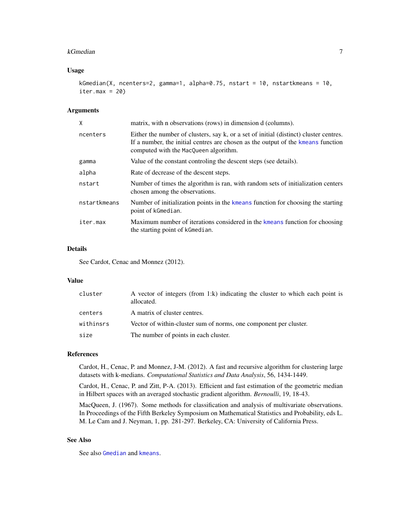#### <span id="page-6-0"></span>kGmedian 7

#### Usage

```
kGmedian(X, ncenters=2, gamma=1, alpha=0.75, nstart = 10, nstartkmeans = 10,
iter.max = 20)
```
#### Arguments

| X            | matrix, with n observations (rows) in dimension d (columns).                                                                                                                                                       |
|--------------|--------------------------------------------------------------------------------------------------------------------------------------------------------------------------------------------------------------------|
| ncenters     | Either the number of clusters, say k, or a set of initial (distinct) cluster centres.<br>If a number, the initial centres are chosen as the output of the kneans function<br>computed with the MacQueen algorithm. |
| gamma        | Value of the constant controling the descent steps (see details).                                                                                                                                                  |
| alpha        | Rate of decrease of the descent steps.                                                                                                                                                                             |
| nstart       | Number of times the algorithm is ran, with random sets of initialization centers<br>chosen among the observations.                                                                                                 |
| nstartkmeans | Number of initialization points in the kmeans function for choosing the starting<br>point of kGmedian.                                                                                                             |
| iter.max     | Maximum number of iterations considered in the kmeans function for choosing<br>the starting point of kGmedian.                                                                                                     |

#### Details

See Cardot, Cenac and Monnez (2012).

#### Value

| cluster   | A vector of integers (from 1:k) indicating the cluster to which each point is<br>allocated. |
|-----------|---------------------------------------------------------------------------------------------|
| centers   | A matrix of cluster centres.                                                                |
| withinsrs | Vector of within-cluster sum of norms, one component per cluster.                           |
| size      | The number of points in each cluster.                                                       |

#### References

Cardot, H., Cenac, P. and Monnez, J-M. (2012). A fast and recursive algorithm for clustering large datasets with k-medians. *Computational Statistics and Data Analysis*, 56, 1434-1449.

Cardot, H., Cenac, P. and Zitt, P-A. (2013). Efficient and fast estimation of the geometric median in Hilbert spaces with an averaged stochastic gradient algorithm. *Bernoulli*, 19, 18-43.

MacQueen, J. (1967). Some methods for classification and analysis of multivariate observations. In Proceedings of the Fifth Berkeley Symposium on Mathematical Statistics and Probability, eds L. M. Le Cam and J. Neyman, 1, pp. 281-297. Berkeley, CA: University of California Press.

#### See Also

See also [Gmedian](#page-2-1) and [kmeans](#page-0-0).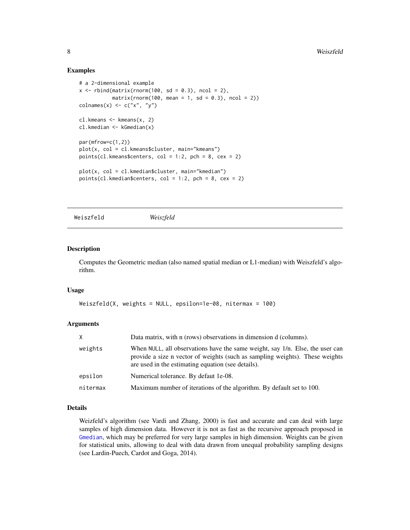#### Examples

```
# a 2-dimensional example
x \le rbind(matrix(rnorm(100, sd = 0.3), ncol = 2),
           matrix(rnorm(100, mean = 1, sd = 0.3), ncol = 2))\text{colnames}(x) \leq c("x", "y")cl.kmeans <- kmeans(x, 2)
cl.kmedian <- kGmedian(x)
par(mfrow=c(1,2))
plot(x, col = cl.kmeans$cluster, main="kmeans")
points(cl.kmeans$centers, col = 1:2, pch = 8, cex = 2)plot(x, col = cl.kmedian$cluster, main="kmedian")
points(cl.kmedian$centers, col = 1:2, pch = 8, cex = 2)
```
<span id="page-7-1"></span>Weiszfeld *Weiszfeld*

#### Description

Computes the Geometric median (also named spatial median or L1-median) with Weiszfeld's algorithm.

#### Usage

```
Weiszfeld(X, weights = NULL, epsilon=1e-08, nitermax = 100)
```
#### Arguments

| X        | Data matrix, with n (rows) observations in dimension d (columns).                                                                                                                                                   |
|----------|---------------------------------------------------------------------------------------------------------------------------------------------------------------------------------------------------------------------|
| weights  | When NULL, all observations have the same weight, say 1/n. Else, the user can<br>provide a size n vector of weights (such as sampling weights). These weights<br>are used in the estimating equation (see details). |
| epsilon  | Numerical tolerance. By defaut 1e-08.                                                                                                                                                                               |
| nitermax | Maximum number of iterations of the algorithm. By default set to 100.                                                                                                                                               |

#### Details

Weizfeld's algorithm (see Vardi and Zhang, 2000) is fast and accurate and can deal with large samples of high dimension data. However it is not as fast as the recursive approach proposed in [Gmedian](#page-2-1), which may be preferred for very large samples in high dimension. Weights can be given for statistical units, allowing to deal with data drawn from unequal probability sampling designs (see Lardin-Puech, Cardot and Goga, 2014).

<span id="page-7-0"></span>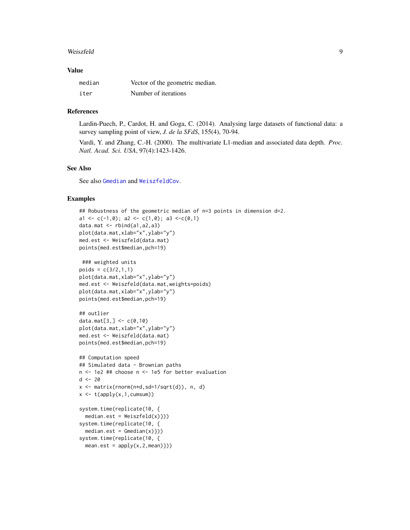#### <span id="page-8-0"></span>Weiszfeld 9

#### Value

| median | Vector of the geometric median. |
|--------|---------------------------------|
| iter   | Number of iterations            |

#### References

Lardin-Puech, P., Cardot, H. and Goga, C. (2014). Analysing large datasets of functional data: a survey sampling point of view, *J. de la SFdS*, 155(4), 70-94.

Vardi, Y. and Zhang, C.-H. (2000). The multivariate L1-median and associated data depth. *Proc. Natl. Acad. Sci. USA*, 97(4):1423-1426.

#### See Also

See also [Gmedian](#page-2-1) and [WeiszfeldCov](#page-9-1).

#### Examples

```
## Robustness of the geometric median of n=3 points in dimension d=2.
a1 <- c(-1,0); a2 <- c(1,0); a3 <-c(0,1)
data.mat \leq rbind(a1,a2,a3)
plot(data.mat,xlab="x",ylab="y")
med.est <- Weiszfeld(data.mat)
points(med.est$median,pch=19)
 ### weighted units
poids = c(3/2, 1, 1)plot(data.mat,xlab="x",ylab="y")
med.est <- Weiszfeld(data.mat,weights=poids)
plot(data.mat,xlab="x",ylab="y")
points(med.est$median,pch=19)
## outlier
data.mat[3,] <- c(0,10)plot(data.mat,xlab="x",ylab="y")
med.est <- Weiszfeld(data.mat)
points(med.est$median,pch=19)
## Computation speed
## Simulated data - Brownian paths
n <- 1e2 ## choose n <- 1e5 for better evaluation
d < -20x <- matrix(rnorm(n*d,sd=1/sqrt(d)), n, d)
x \leftarrow t(\text{apply}(x,1, \text{cumsum}))system.time(replicate(10, {
  median.set = Weiszfeld(x))system.time(replicate(10, {
  median.set = \text{Gmedian}(x))system.time(replicate(10, {
  mean.set = apply(x, 2, mean)})
```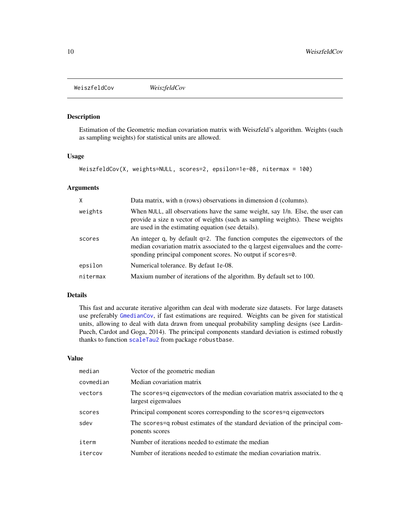<span id="page-9-1"></span><span id="page-9-0"></span>WeiszfeldCov *WeiszfeldCov*

#### Description

Estimation of the Geometric median covariation matrix with Weiszfeld's algorithm. Weights (such as sampling weights) for statistical units are allowed.

#### Usage

```
WeiszfeldCov(X, weights=NULL, scores=2, epsilon=1e-08, nitermax = 100)
```
#### Arguments

| X        | Data matrix, with n (rows) observations in dimension d (columns).                                                                                                                                                                 |
|----------|-----------------------------------------------------------------------------------------------------------------------------------------------------------------------------------------------------------------------------------|
| weights  | When NULL, all observations have the same weight, say 1/n. Else, the user can<br>provide a size n vector of weights (such as sampling weights). These weights<br>are used in the estimating equation (see details).               |
| scores   | An integer q, by default $q=2$ . The function computes the eigenvectors of the<br>median covariation matrix associated to the q largest eigenvalues and the corre-<br>sponding principal component scores. No output if scores=0. |
| epsilon  | Numerical tolerance. By defaut 1e-08.                                                                                                                                                                                             |
| nitermax | Maxium number of iterations of the algorithm. By default set to 100.                                                                                                                                                              |

#### Details

This fast and accurate iterative algorithm can deal with moderate size datasets. For large datasets use preferably [GmedianCov](#page-4-1), if fast estimations are required. Weights can be given for statistical units, allowing to deal with data drawn from unequal probability sampling designs (see Lardin-Puech, Cardot and Goga, 2014). The principal components standard deviation is estimed robustly thanks to function [scaleTau2](#page-0-0) from package robustbase.

#### Value

| Vector of the geometric median                                                                          |
|---------------------------------------------------------------------------------------------------------|
| Median covariation matrix                                                                               |
| The scores = q eigenvectors of the median covariation matrix associated to the q<br>largest eigenvalues |
| Principal component scores corresponding to the scores = q eigenvectors                                 |
| The scores=q robust estimates of the standard deviation of the principal com-<br>ponents scores         |
| Number of iterations needed to estimate the median                                                      |
| Number of iterations needed to estimate the median covariation matrix.                                  |
|                                                                                                         |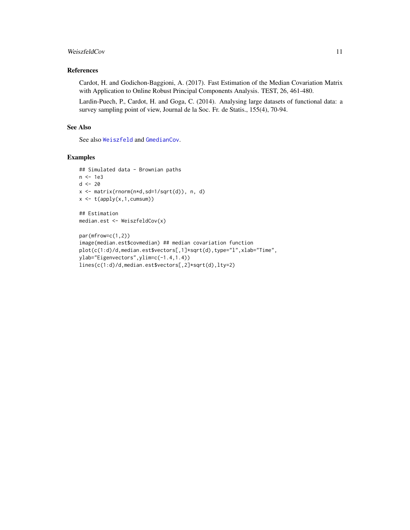#### <span id="page-10-0"></span>WeiszfeldCov 11

#### References

Cardot, H. and Godichon-Baggioni, A. (2017). Fast Estimation of the Median Covariation Matrix with Application to Online Robust Principal Components Analysis. TEST, 26, 461-480.

Lardin-Puech, P., Cardot, H. and Goga, C. (2014). Analysing large datasets of functional data: a survey sampling point of view, Journal de la Soc. Fr. de Statis., 155(4), 70-94.

#### See Also

See also [Weiszfeld](#page-7-1) and [GmedianCov](#page-4-1).

#### Examples

```
## Simulated data - Brownian paths
n <- 1e3
d < -20x <- matrix(rnorm(n*d,sd=1/sqrt(d)), n, d)
x \leftarrow t(\text{apply}(x, 1, \text{cumsum}))## Estimation
median.est <- WeiszfeldCov(x)
par(mfrow=c(1,2))
image(median.est$covmedian) ## median covariation function
plot(c(1:d)/d,median.est$vectors[,1]*sqrt(d),type="l",xlab="Time",
ylab="Eigenvectors",ylim=c(-1.4,1.4))
lines(c(1:d)/d,median.est$vectors[,2]*sqrt(d),lty=2)
```